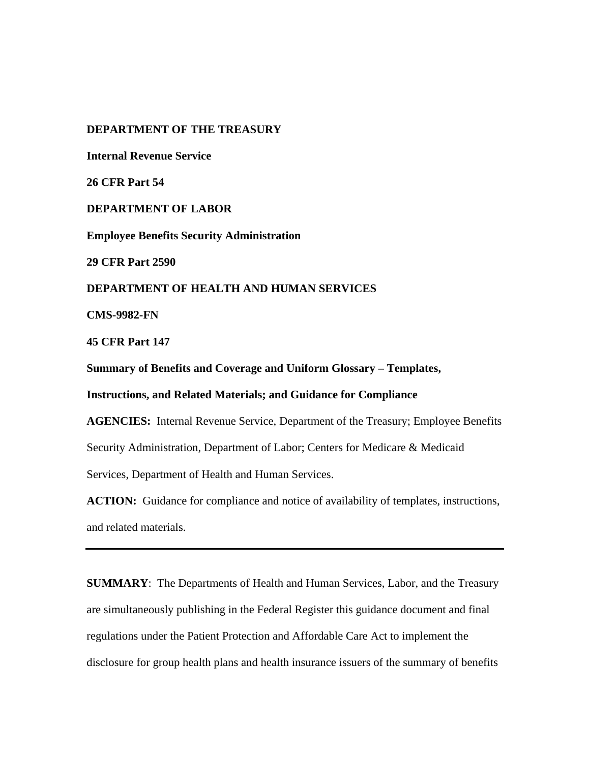## **DEPARTMENT OF THE TREASURY**

**Internal Revenue Service** 

**26 CFR Part 54** 

**DEPARTMENT OF LABOR**

**Employee Benefits Security Administration**

**29 CFR Part 2590** 

# **DEPARTMENT OF HEALTH AND HUMAN SERVICES**

**CMS-9982-FN** 

**45 CFR Part 147** 

**Summary of Benefits and Coverage and Uniform Glossary – Templates,** 

**Instructions, and Related Materials; and Guidance for Compliance** 

**AGENCIES:** Internal Revenue Service, Department of the Treasury; Employee Benefits Security Administration, Department of Labor; Centers for Medicare & Medicaid Services, Department of Health and Human Services.

ACTION: Guidance for compliance and notice of availability of templates, instructions, and related materials.

**SUMMARY**: The Departments of Health and Human Services, Labor, and the Treasury are simultaneously publishing in the Federal Register this guidance document and final regulations under the Patient Protection and Affordable Care Act to implement the disclosure for group health plans and health insurance issuers of the summary of benefits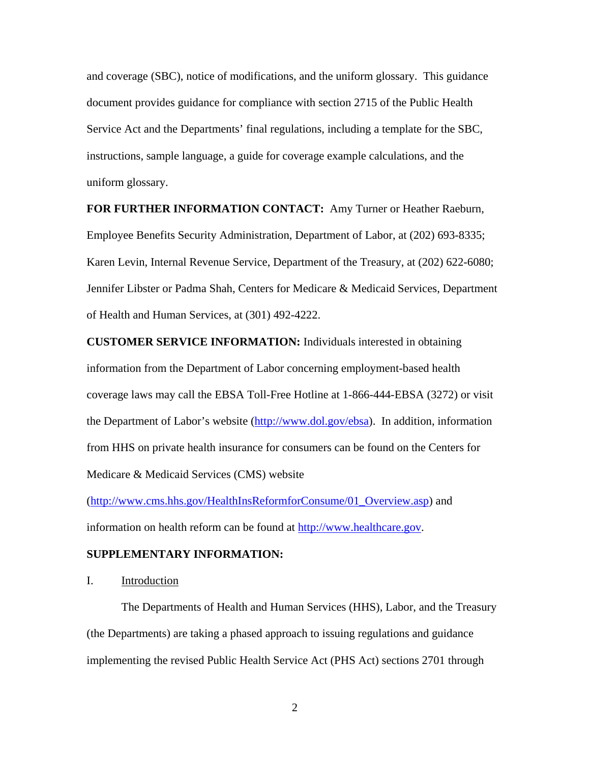and coverage (SBC), notice of modifications, and the uniform glossary. This guidance document provides guidance for compliance with section 2715 of the Public Health Service Act and the Departments' final regulations, including a template for the SBC, instructions, sample language, a guide for coverage example calculations, and the uniform glossary.

**FOR FURTHER INFORMATION CONTACT:** Amy Turner or Heather Raeburn, Employee Benefits Security Administration, Department of Labor, at (202) 693-8335; Karen Levin, Internal Revenue Service, Department of the Treasury, at (202) 622-6080; Jennifer Libster or Padma Shah, Centers for Medicare & Medicaid Services, Department of Health and Human Services, at (301) 492-4222.

**CUSTOMER SERVICE INFORMATION:** Individuals interested in obtaining information from the Department of Labor concerning employment-based health coverage laws may call the EBSA Toll-Free Hotline at 1-866-444-EBSA (3272) or visit the Department of Labor's website (http://www.dol.gov/ebsa). In addition, information from HHS on private health insurance for consumers can be found on the Centers for Medicare & Medicaid Services (CMS) website

(http://www.cms.hhs.gov/HealthInsReformforConsume/01\_Overview.asp) and information on health reform can be found at http://www.healthcare.gov.

## **SUPPLEMENTARY INFORMATION:**

I. Introduction

 The Departments of Health and Human Services (HHS), Labor, and the Treasury (the Departments) are taking a phased approach to issuing regulations and guidance implementing the revised Public Health Service Act (PHS Act) sections 2701 through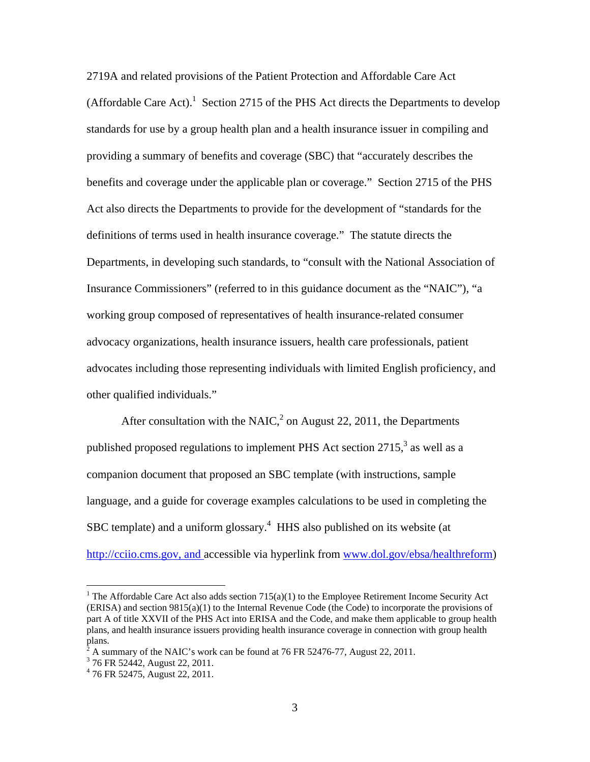2719A and related provisions of the Patient Protection and Affordable Care Act (Affordable Care Act). $1$  Section 2715 of the PHS Act directs the Departments to develop standards for use by a group health plan and a health insurance issuer in compiling and providing a summary of benefits and coverage (SBC) that "accurately describes the benefits and coverage under the applicable plan or coverage." Section 2715 of the PHS Act also directs the Departments to provide for the development of "standards for the definitions of terms used in health insurance coverage." The statute directs the Departments, in developing such standards, to "consult with the National Association of Insurance Commissioners" (referred to in this guidance document as the "NAIC"), "a working group composed of representatives of health insurance-related consumer advocacy organizations, health insurance issuers, health care professionals, patient advocates including those representing individuals with limited English proficiency, and other qualified individuals."

After consultation with the NAIC, $^2$  on August 22, 2011, the Departments published proposed regulations to implement PHS Act section  $2715$ , as well as a companion document that proposed an SBC template (with instructions, sample language, and a guide for coverage examples calculations to be used in completing the SBC template) and a uniform glossary.<sup>4</sup> HHS also published on its website (at http://cciio.cms.gov, and accessible via hyperlink from www.dol.gov/ebsa/healthreform)

<sup>&</sup>lt;sup>1</sup> The Affordable Care Act also adds section  $715(a)(1)$  to the Employee Retirement Income Security Act (ERISA) and section 9815(a)(1) to the Internal Revenue Code (the Code) to incorporate the provisions of part A of title XXVII of the PHS Act into ERISA and the Code, and make them applicable to group health plans, and health insurance issuers providing health insurance coverage in connection with group health plans.

 $^{2}$  A summary of the NAIC's work can be found at 76 FR 52476-77, August 22, 2011.

<sup>&</sup>lt;sup>3</sup> 76 FR 52442, August 22, 2011.

<sup>4</sup> 76 FR 52475, August 22, 2011.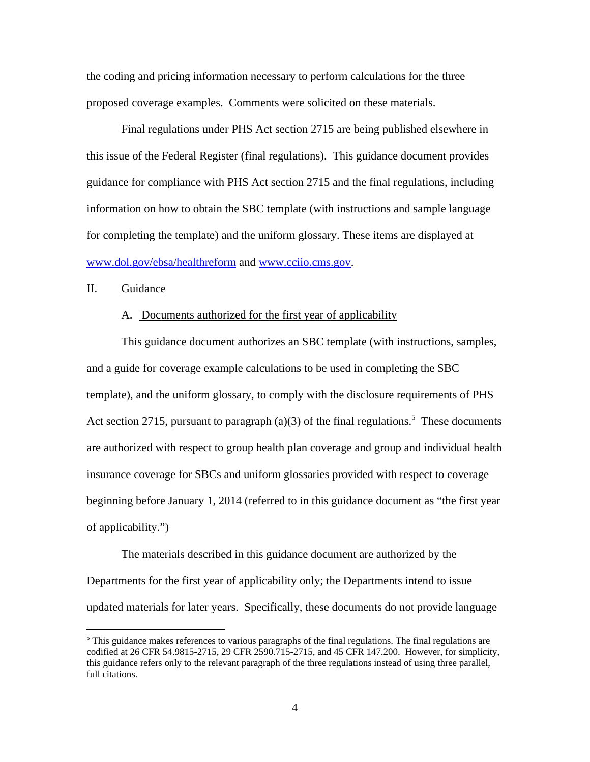the coding and pricing information necessary to perform calculations for the three proposed coverage examples. Comments were solicited on these materials.

 Final regulations under PHS Act section 2715 are being published elsewhere in this issue of the Federal Register (final regulations). This guidance document provides guidance for compliance with PHS Act section 2715 and the final regulations, including information on how to obtain the SBC template (with instructions and sample language for completing the template) and the uniform glossary. These items are displayed at www.dol.gov/ebsa/healthreform and www.cciio.cms.gov.

## II. Guidance

 $\overline{a}$ 

#### A. Documents authorized for the first year of applicability

This guidance document authorizes an SBC template (with instructions, samples, and a guide for coverage example calculations to be used in completing the SBC template), and the uniform glossary, to comply with the disclosure requirements of PHS Act section 2715, pursuant to paragraph (a)(3) of the final regulations.<sup>5</sup> These documents are authorized with respect to group health plan coverage and group and individual health insurance coverage for SBCs and uniform glossaries provided with respect to coverage beginning before January 1, 2014 (referred to in this guidance document as "the first year of applicability.")

The materials described in this guidance document are authorized by the Departments for the first year of applicability only; the Departments intend to issue updated materials for later years. Specifically, these documents do not provide language

<sup>&</sup>lt;sup>5</sup> This guidance makes references to various paragraphs of the final regulations. The final regulations are codified at 26 CFR 54.9815-2715, 29 CFR 2590.715-2715, and 45 CFR 147.200. However, for simplicity, this guidance refers only to the relevant paragraph of the three regulations instead of using three parallel, full citations.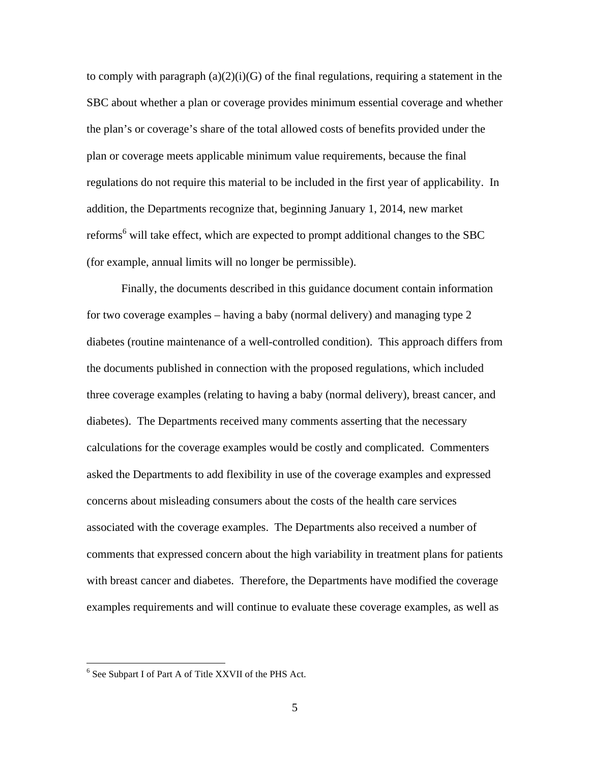to comply with paragraph  $(a)(2)(i)(G)$  of the final regulations, requiring a statement in the SBC about whether a plan or coverage provides minimum essential coverage and whether the plan's or coverage's share of the total allowed costs of benefits provided under the plan or coverage meets applicable minimum value requirements, because the final regulations do not require this material to be included in the first year of applicability. In addition, the Departments recognize that, beginning January 1, 2014, new market reforms<sup>6</sup> will take effect, which are expected to prompt additional changes to the SBC (for example, annual limits will no longer be permissible).

Finally, the documents described in this guidance document contain information for two coverage examples – having a baby (normal delivery) and managing type 2 diabetes (routine maintenance of a well-controlled condition). This approach differs from the documents published in connection with the proposed regulations, which included three coverage examples (relating to having a baby (normal delivery), breast cancer, and diabetes). The Departments received many comments asserting that the necessary calculations for the coverage examples would be costly and complicated. Commenters asked the Departments to add flexibility in use of the coverage examples and expressed concerns about misleading consumers about the costs of the health care services associated with the coverage examples. The Departments also received a number of comments that expressed concern about the high variability in treatment plans for patients with breast cancer and diabetes. Therefore, the Departments have modified the coverage examples requirements and will continue to evaluate these coverage examples, as well as

<sup>&</sup>lt;sup>6</sup> See Subpart I of Part A of Title XXVII of the PHS Act.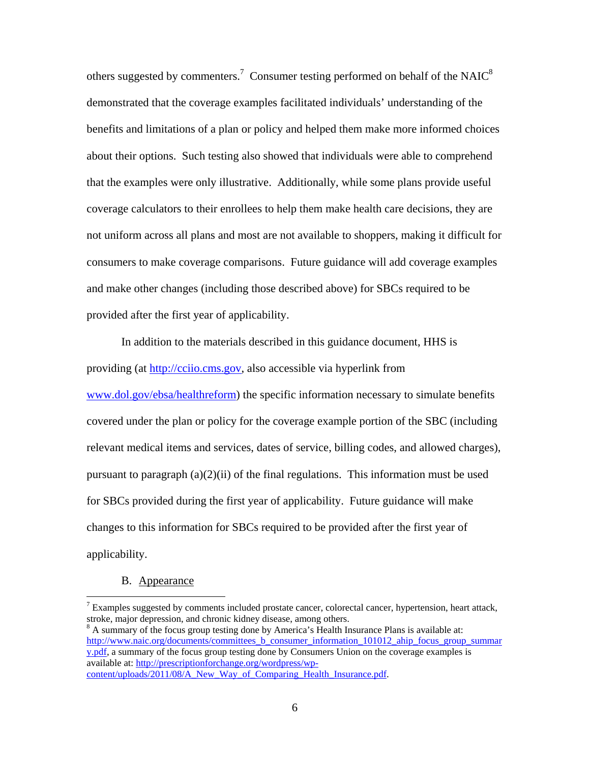others suggested by commenters.<sup>7</sup> Consumer testing performed on behalf of the NAIC<sup>8</sup> demonstrated that the coverage examples facilitated individuals' understanding of the benefits and limitations of a plan or policy and helped them make more informed choices about their options. Such testing also showed that individuals were able to comprehend that the examples were only illustrative. Additionally, while some plans provide useful coverage calculators to their enrollees to help them make health care decisions, they are not uniform across all plans and most are not available to shoppers, making it difficult for consumers to make coverage comparisons. Future guidance will add coverage examples and make other changes (including those described above) for SBCs required to be provided after the first year of applicability.

In addition to the materials described in this guidance document, HHS is providing (at http://cciio.cms.gov, also accessible via hyperlink from www.dol.gov/ebsa/healthreform) the specific information necessary to simulate benefits covered under the plan or policy for the coverage example portion of the SBC (including relevant medical items and services, dates of service, billing codes, and allowed charges), pursuant to paragraph  $(a)(2)(ii)$  of the final regulations. This information must be used for SBCs provided during the first year of applicability. Future guidance will make changes to this information for SBCs required to be provided after the first year of applicability.

### B. Appearance

 $\overline{a}$ 

<sup>8</sup> A summary of the focus group testing done by America's Health Insurance Plans is available at: http://www.naic.org/documents/committees\_b\_consumer\_information\_101012\_ahip\_focus\_group\_summar y.pdf, a summary of the focus group testing done by Consumers Union on the coverage examples is available at: http://prescriptionforchange.org/wordpress/wpcontent/uploads/2011/08/A\_New\_Way\_of\_Comparing\_Health\_Insurance.pdf.

 $7$  Examples suggested by comments included prostate cancer, colorectal cancer, hypertension, heart attack, stroke, major depression, and chronic kidney disease, among others.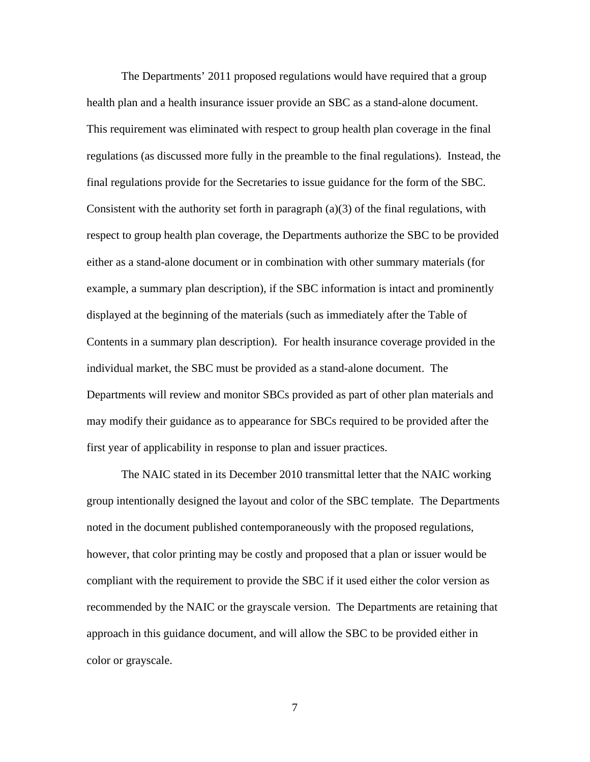The Departments' 2011 proposed regulations would have required that a group health plan and a health insurance issuer provide an SBC as a stand-alone document. This requirement was eliminated with respect to group health plan coverage in the final regulations (as discussed more fully in the preamble to the final regulations). Instead, the final regulations provide for the Secretaries to issue guidance for the form of the SBC. Consistent with the authority set forth in paragraph  $(a)(3)$  of the final regulations, with respect to group health plan coverage, the Departments authorize the SBC to be provided either as a stand-alone document or in combination with other summary materials (for example, a summary plan description), if the SBC information is intact and prominently displayed at the beginning of the materials (such as immediately after the Table of Contents in a summary plan description). For health insurance coverage provided in the individual market, the SBC must be provided as a stand-alone document. The Departments will review and monitor SBCs provided as part of other plan materials and may modify their guidance as to appearance for SBCs required to be provided after the first year of applicability in response to plan and issuer practices.

The NAIC stated in its December 2010 transmittal letter that the NAIC working group intentionally designed the layout and color of the SBC template. The Departments noted in the document published contemporaneously with the proposed regulations, however, that color printing may be costly and proposed that a plan or issuer would be compliant with the requirement to provide the SBC if it used either the color version as recommended by the NAIC or the grayscale version. The Departments are retaining that approach in this guidance document, and will allow the SBC to be provided either in color or grayscale.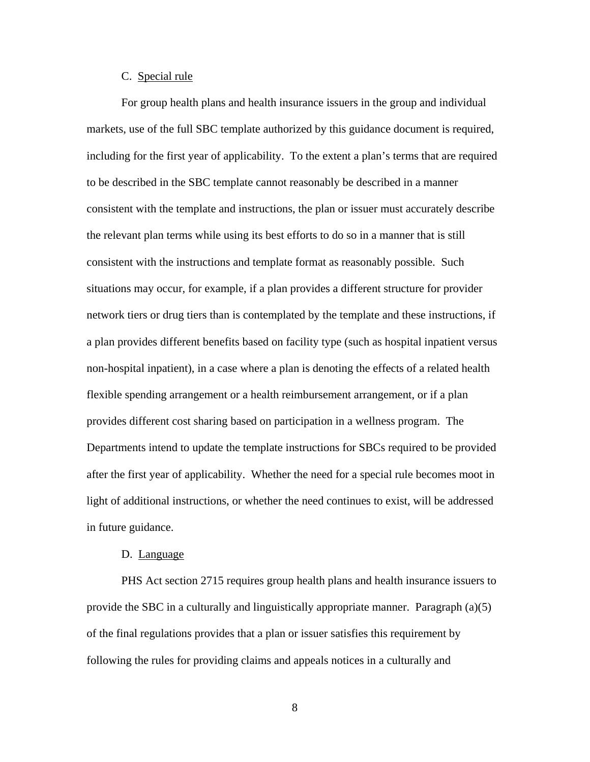#### C. Special rule

For group health plans and health insurance issuers in the group and individual markets, use of the full SBC template authorized by this guidance document is required, including for the first year of applicability. To the extent a plan's terms that are required to be described in the SBC template cannot reasonably be described in a manner consistent with the template and instructions, the plan or issuer must accurately describe the relevant plan terms while using its best efforts to do so in a manner that is still consistent with the instructions and template format as reasonably possible. Such situations may occur, for example, if a plan provides a different structure for provider network tiers or drug tiers than is contemplated by the template and these instructions, if a plan provides different benefits based on facility type (such as hospital inpatient versus non-hospital inpatient), in a case where a plan is denoting the effects of a related health flexible spending arrangement or a health reimbursement arrangement, or if a plan provides different cost sharing based on participation in a wellness program. The Departments intend to update the template instructions for SBCs required to be provided after the first year of applicability. Whether the need for a special rule becomes moot in light of additional instructions, or whether the need continues to exist, will be addressed in future guidance.

#### D. Language

PHS Act section 2715 requires group health plans and health insurance issuers to provide the SBC in a culturally and linguistically appropriate manner. Paragraph  $(a)(5)$ of the final regulations provides that a plan or issuer satisfies this requirement by following the rules for providing claims and appeals notices in a culturally and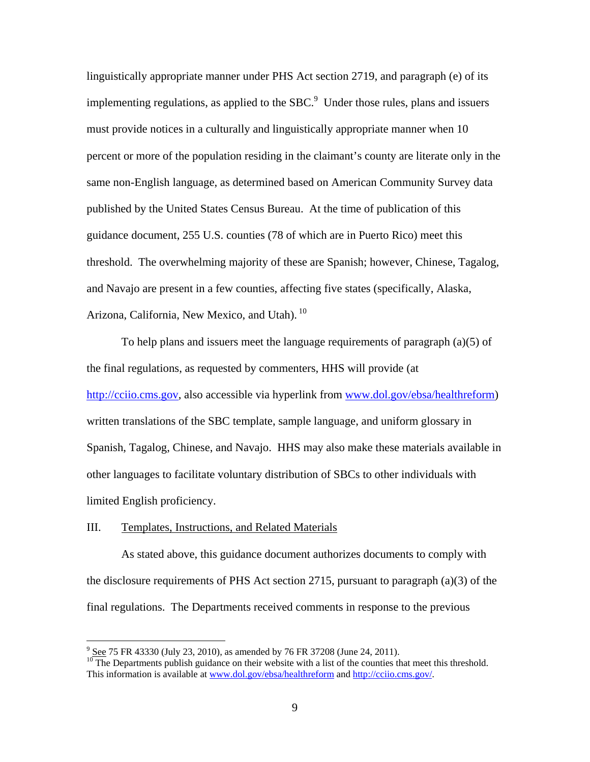linguistically appropriate manner under PHS Act section 2719, and paragraph (e) of its implementing regulations, as applied to the  $SBC$ <sup>9</sup> Under those rules, plans and issuers must provide notices in a culturally and linguistically appropriate manner when 10 percent or more of the population residing in the claimant's county are literate only in the same non-English language, as determined based on American Community Survey data published by the United States Census Bureau. At the time of publication of this guidance document, 255 U.S. counties (78 of which are in Puerto Rico) meet this threshold. The overwhelming majority of these are Spanish; however, Chinese, Tagalog, and Navajo are present in a few counties, affecting five states (specifically, Alaska, Arizona, California, New Mexico, and Utah).  $^{10}$ 

To help plans and issuers meet the language requirements of paragraph (a)(5) of the final regulations, as requested by commenters, HHS will provide (at http://cciio.cms.gov, also accessible via hyperlink from www.dol.gov/ebsa/healthreform) written translations of the SBC template, sample language, and uniform glossary in Spanish, Tagalog, Chinese, and Navajo. HHS may also make these materials available in other languages to facilitate voluntary distribution of SBCs to other individuals with limited English proficiency.

### III. Templates, Instructions, and Related Materials

As stated above, this guidance document authorizes documents to comply with the disclosure requirements of PHS Act section 2715, pursuant to paragraph (a)(3) of the final regulations. The Departments received comments in response to the previous

<sup>-&</sup>lt;br>9

 $\overline{10}$  The Departments publish guidance on their website with a list of the counties that meet this threshold. This information is available at www.dol.gov/ebsa/healthreform and http://cciio.cms.gov/.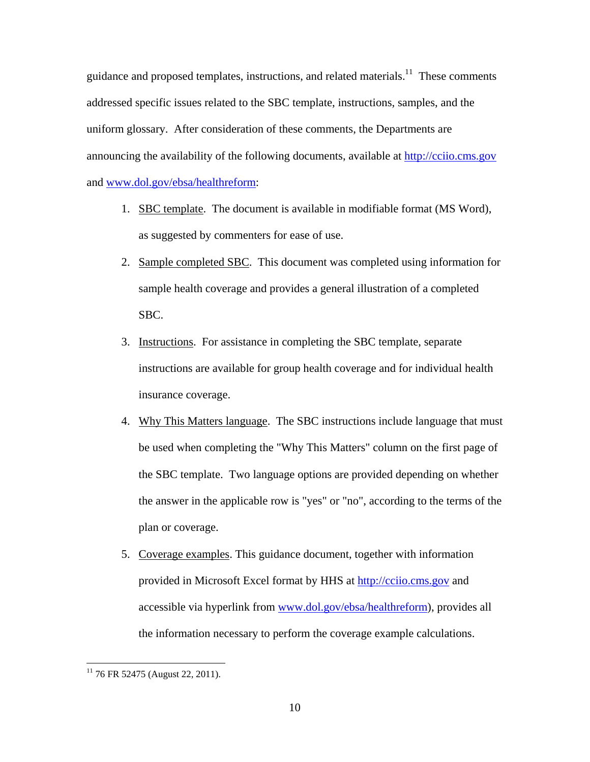guidance and proposed templates, instructions, and related materials.<sup>11</sup> These comments addressed specific issues related to the SBC template, instructions, samples, and the uniform glossary. After consideration of these comments, the Departments are announcing the availability of the following documents, available at http://cciio.cms.gov and www.dol.gov/ebsa/healthreform:

- 1. SBC template. The document is available in modifiable format (MS Word), as suggested by commenters for ease of use.
- 2. Sample completed SBC. This document was completed using information for sample health coverage and provides a general illustration of a completed SBC.
- 3. Instructions. For assistance in completing the SBC template, separate instructions are available for group health coverage and for individual health insurance coverage.
- 4. Why This Matters language. The SBC instructions include language that must be used when completing the "Why This Matters" column on the first page of the SBC template. Two language options are provided depending on whether the answer in the applicable row is "yes" or "no", according to the terms of the plan or coverage.
- 5. Coverage examples. This guidance document, together with information provided in Microsoft Excel format by HHS at http://cciio.cms.gov and accessible via hyperlink from www.dol.gov/ebsa/healthreform), provides all the information necessary to perform the coverage example calculations.

 $\overline{a}$ 

 $11$  76 FR 52475 (August 22, 2011).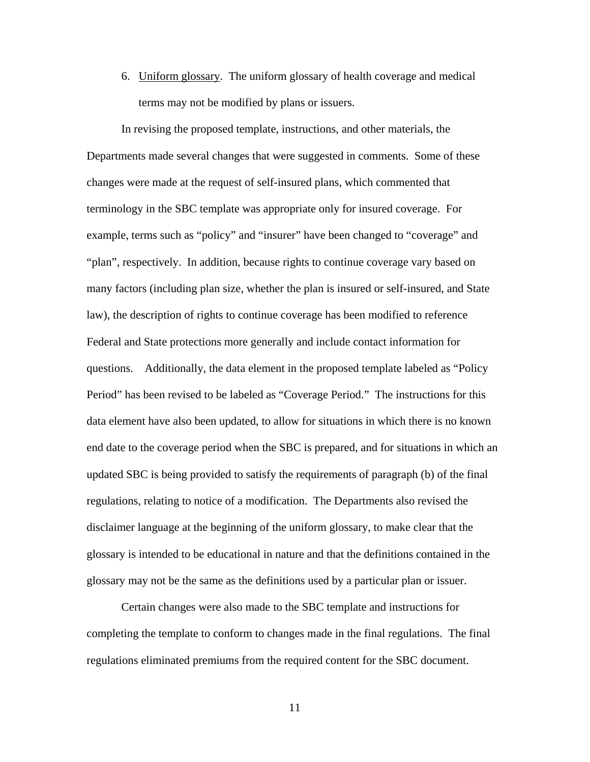6. Uniform glossary. The uniform glossary of health coverage and medical terms may not be modified by plans or issuers.

In revising the proposed template, instructions, and other materials, the Departments made several changes that were suggested in comments. Some of these changes were made at the request of self-insured plans, which commented that terminology in the SBC template was appropriate only for insured coverage. For example, terms such as "policy" and "insurer" have been changed to "coverage" and "plan", respectively. In addition, because rights to continue coverage vary based on many factors (including plan size, whether the plan is insured or self-insured, and State law), the description of rights to continue coverage has been modified to reference Federal and State protections more generally and include contact information for questions. Additionally, the data element in the proposed template labeled as "Policy Period" has been revised to be labeled as "Coverage Period." The instructions for this data element have also been updated, to allow for situations in which there is no known end date to the coverage period when the SBC is prepared, and for situations in which an updated SBC is being provided to satisfy the requirements of paragraph (b) of the final regulations, relating to notice of a modification. The Departments also revised the disclaimer language at the beginning of the uniform glossary, to make clear that the glossary is intended to be educational in nature and that the definitions contained in the glossary may not be the same as the definitions used by a particular plan or issuer.

Certain changes were also made to the SBC template and instructions for completing the template to conform to changes made in the final regulations. The final regulations eliminated premiums from the required content for the SBC document.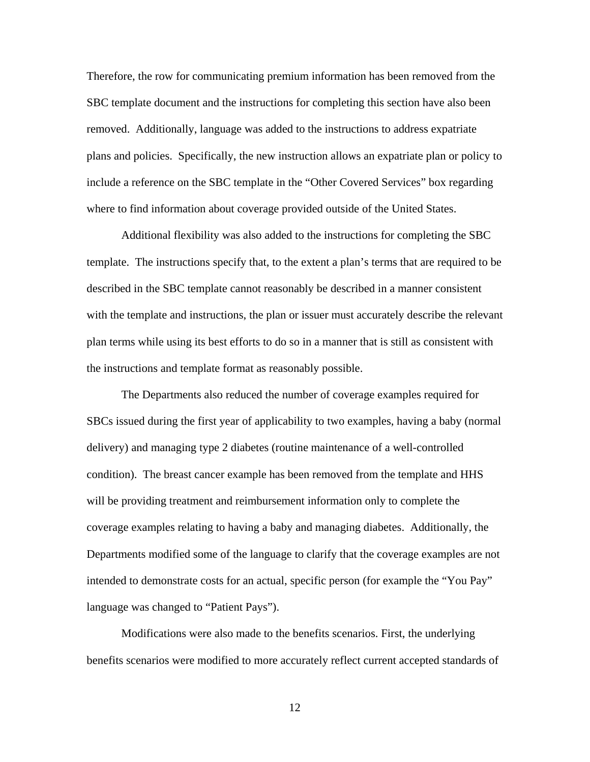Therefore, the row for communicating premium information has been removed from the SBC template document and the instructions for completing this section have also been removed. Additionally, language was added to the instructions to address expatriate plans and policies. Specifically, the new instruction allows an expatriate plan or policy to include a reference on the SBC template in the "Other Covered Services" box regarding where to find information about coverage provided outside of the United States.

Additional flexibility was also added to the instructions for completing the SBC template. The instructions specify that, to the extent a plan's terms that are required to be described in the SBC template cannot reasonably be described in a manner consistent with the template and instructions, the plan or issuer must accurately describe the relevant plan terms while using its best efforts to do so in a manner that is still as consistent with the instructions and template format as reasonably possible.

The Departments also reduced the number of coverage examples required for SBCs issued during the first year of applicability to two examples, having a baby (normal delivery) and managing type 2 diabetes (routine maintenance of a well-controlled condition). The breast cancer example has been removed from the template and HHS will be providing treatment and reimbursement information only to complete the coverage examples relating to having a baby and managing diabetes. Additionally, the Departments modified some of the language to clarify that the coverage examples are not intended to demonstrate costs for an actual, specific person (for example the "You Pay" language was changed to "Patient Pays").

Modifications were also made to the benefits scenarios. First, the underlying benefits scenarios were modified to more accurately reflect current accepted standards of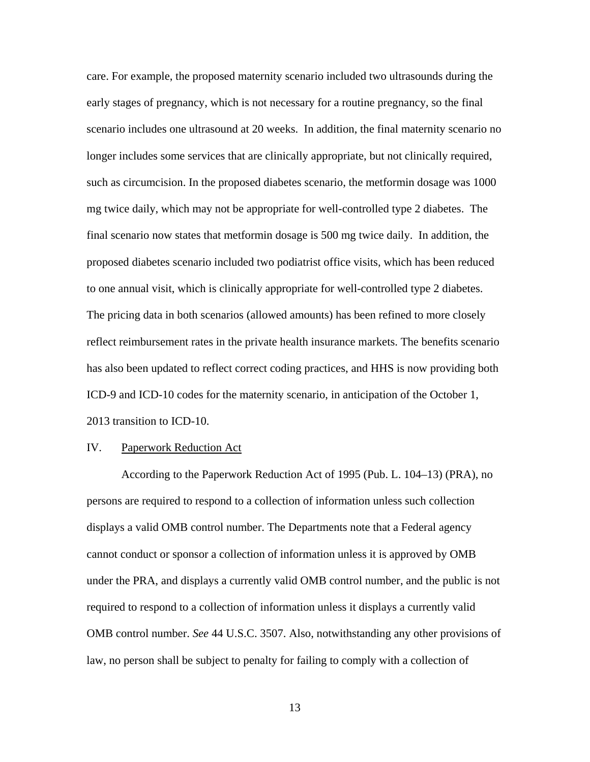care. For example, the proposed maternity scenario included two ultrasounds during the early stages of pregnancy, which is not necessary for a routine pregnancy, so the final scenario includes one ultrasound at 20 weeks. In addition, the final maternity scenario no longer includes some services that are clinically appropriate, but not clinically required, such as circumcision. In the proposed diabetes scenario, the metformin dosage was 1000 mg twice daily, which may not be appropriate for well-controlled type 2 diabetes. The final scenario now states that metformin dosage is 500 mg twice daily. In addition, the proposed diabetes scenario included two podiatrist office visits, which has been reduced to one annual visit, which is clinically appropriate for well-controlled type 2 diabetes. The pricing data in both scenarios (allowed amounts) has been refined to more closely reflect reimbursement rates in the private health insurance markets. The benefits scenario has also been updated to reflect correct coding practices, and HHS is now providing both ICD-9 and ICD-10 codes for the maternity scenario, in anticipation of the October 1, 2013 transition to ICD-10.

### IV. Paperwork Reduction Act

According to the Paperwork Reduction Act of 1995 (Pub. L. 104–13) (PRA), no persons are required to respond to a collection of information unless such collection displays a valid OMB control number. The Departments note that a Federal agency cannot conduct or sponsor a collection of information unless it is approved by OMB under the PRA, and displays a currently valid OMB control number, and the public is not required to respond to a collection of information unless it displays a currently valid OMB control number. *See* 44 U.S.C. 3507. Also, notwithstanding any other provisions of law, no person shall be subject to penalty for failing to comply with a collection of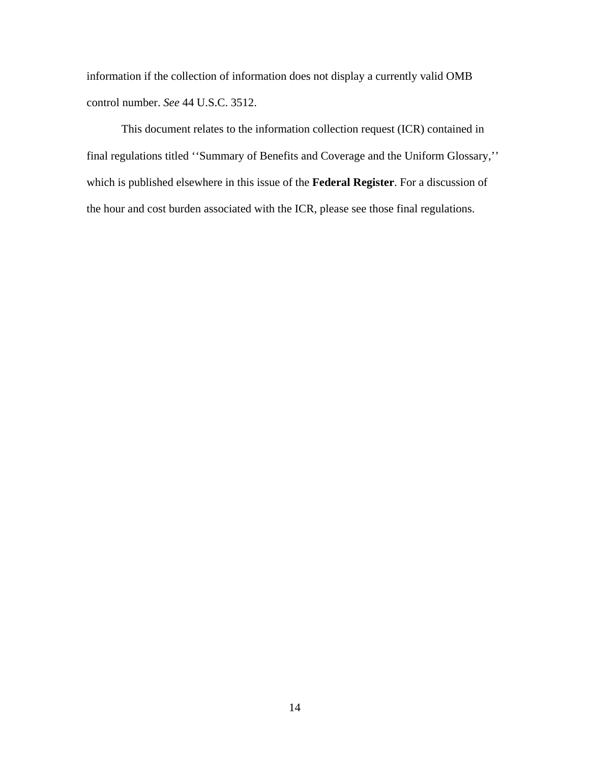information if the collection of information does not display a currently valid OMB control number. *See* 44 U.S.C. 3512.

This document relates to the information collection request (ICR) contained in final regulations titled ''Summary of Benefits and Coverage and the Uniform Glossary,'' which is published elsewhere in this issue of the **Federal Register**. For a discussion of the hour and cost burden associated with the ICR, please see those final regulations.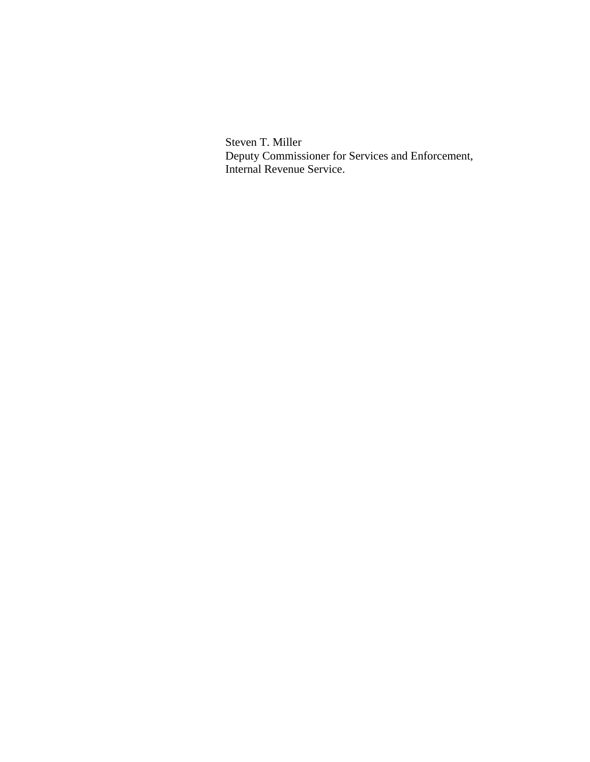Steven T. Miller Deputy Commissioner for Services and Enforcement, Internal Revenue Service.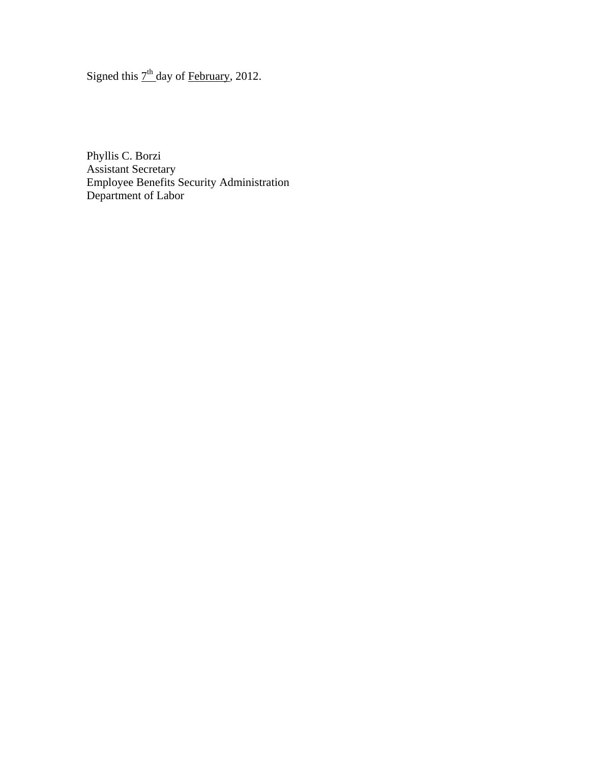Signed this  $7<sup>th</sup>$  day of February, 2012.

Phyllis C. Borzi Assistant Secretary Employee Benefits Security Administration Department of Labor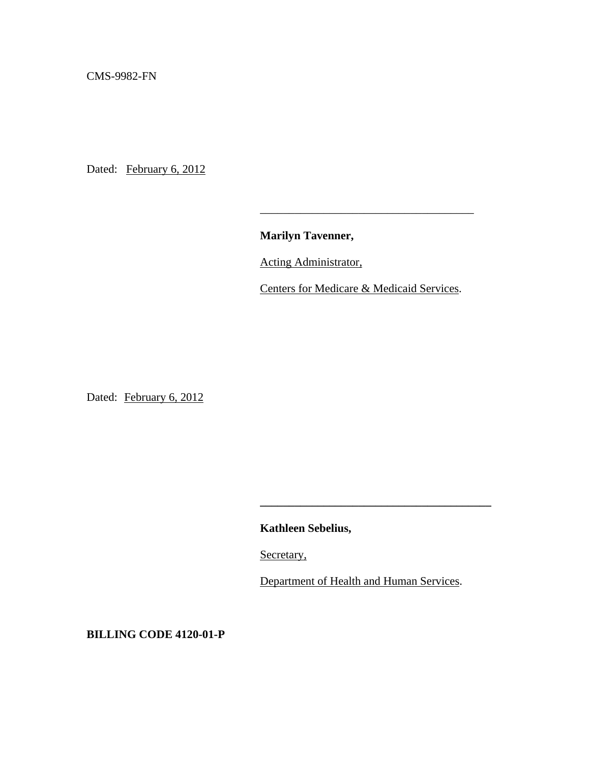CMS-9982-FN

Dated: February 6, 2012

**Marilyn Tavenner,**

 $\overline{\phantom{a}}$  , and the contract of the contract of the contract of the contract of the contract of the contract of the contract of the contract of the contract of the contract of the contract of the contract of the contrac

Acting Administrator,

Centers for Medicare & Medicaid Services.

Dated: February 6, 2012

**Kathleen Sebelius,** 

Secretary,

Department of Health and Human Services.

**\_\_\_\_\_\_\_\_\_\_\_\_\_\_\_\_\_\_\_\_\_\_\_\_\_\_\_\_\_\_\_\_\_\_\_\_\_\_\_\_** 

**BILLING CODE 4120-01-P**